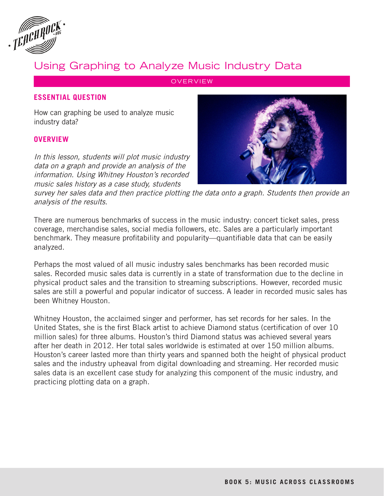

# Using Graphing to Analyze Music Industry Data

**OVERVIEW** 

## **ESSENTIAL QUESTION**

How can graphing be used to analyze music industry data?

#### **OVERVIEW**

In this lesson, students will plot music industry data on a graph and provide an analysis of the information. Using Whitney Houston's recorded music sales history as a case study, students



survey her sales data and then practice plotting the data onto a graph. Students then provide an analysis of the results.

There are numerous benchmarks of success in the music industry: concert ticket sales, press coverage, merchandise sales, social media followers, etc. Sales are a particularly important benchmark. They measure profitability and popularity—quantifiable data that can be easily analyzed.

Perhaps the most valued of all music industry sales benchmarks has been recorded music sales. Recorded music sales data is currently in a state of transformation due to the decline in physical product sales and the transition to streaming subscriptions. However, recorded music sales are still a powerful and popular indicator of success. A leader in recorded music sales has been Whitney Houston.

Whitney Houston, the acclaimed singer and performer, has set records for her sales. In the United States, she is the first Black artist to achieve Diamond status (certification of over 10 million sales) for three albums. Houston's third Diamond status was achieved several years after her death in 2012. Her total sales worldwide is estimated at over 150 million albums. Houston's career lasted more than thirty years and spanned both the height of physical product sales and the industry upheaval from digital downloading and streaming. Her recorded music sales data is an excellent case study for analyzing this component of the music industry, and practicing plotting data on a graph.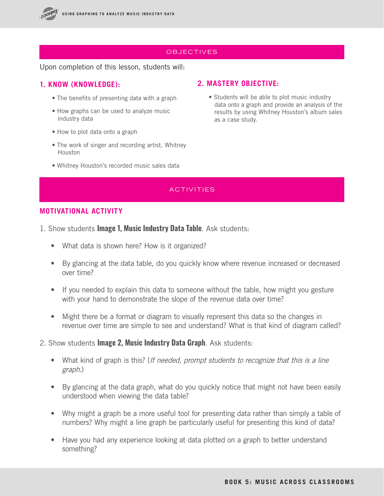

## **OBJECTIVES**

#### Upon completion of this lesson, students will:

## **1. KNOW (KNOWLEDGE):**

- The benefits of presenting data with a graph
- How graphs can be used to analyze music industry data
- How to plot data onto a graph
- The work of singer and recording artist, Whitney Houston
- Whitney Houston's recorded music sales data

#### **2. MASTERY OBJECTIVE:**

• Students will be able to plot music industry data onto a graph and provide an analysis of the results by using Whitney Houston's album sales as a case study.

## ACTIVITIES

## **MOTIVATIONAL ACTIVITY**

- 1. Show students **Image 1, Music Industry Data Table**. Ask students:
	- What data is shown here? How is it organized?
	- By glancing at the data table, do you quickly know where revenue increased or decreased over time?
	- If you needed to explain this data to someone without the table, how might you gesture with your hand to demonstrate the slope of the revenue data over time?
	- Might there be a format or diagram to visually represent this data so the changes in revenue over time are simple to see and understand? What is that kind of diagram called?
- 2. Show students **Image 2, Music Industry Data Graph**. Ask students:
	- What kind of graph is this? (*If needed, prompt students to recognize that this is a line* graph.)
	- By glancing at the data graph, what do you quickly notice that might not have been easily understood when viewing the data table?
	- Why might a graph be a more useful tool for presenting data rather than simply a table of numbers? Why might a line graph be particularly useful for presenting this kind of data?
	- Have you had any experience looking at data plotted on a graph to better understand something?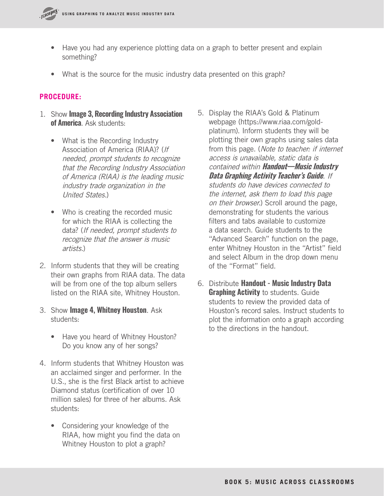

- Have you had any experience plotting data on a graph to better present and explain something?
- What is the source for the music industry data presented on this graph?

## **PROCEDURE:**

- 1. Show **Image 3, Recording Industry Association of America**. Ask students:
	- What is the Recording Industry Association of America (RIAA)? (If needed, prompt students to recognize that the Recording Industry Association of America (RIAA) is the leading music industry trade organization in the United States.)
	- Who is creating the recorded music for which the RIAA is collecting the data? (If needed, prompt students to recognize that the answer is music artists.)
- 2. Inform students that they will be creating their own graphs from RIAA data. The data will be from one of the top album sellers listed on the RIAA site, Whitney Houston.
- 3. Show **Image 4, Whitney Houston**. Ask students:
	- Have you heard of Whitney Houston? Do you know any of her songs?
- 4. Inform students that Whitney Houston was an acclaimed singer and performer. In the U.S., she is the first Black artist to achieve Diamond status (certification of over 10 million sales) for three of her albums. Ask students:
	- Considering your knowledge of the RIAA, how might you find the data on Whitney Houston to plot a graph?
- 5. Display the RIAA's Gold & Platinum webpage (https://www.riaa.com/goldplatinum). Inform students they will be plotting their own graphs using sales data from this page. (Note to teacher: if internet access is unavailable, static data is contained within **Handout—Music Industry Data Graphing Activity Teacher's Guide**. If students do have devices connected to the internet, ask them to load this page on their browser.) Scroll around the page, demonstrating for students the various filters and tabs available to customize a data search. Guide students to the "Advanced Search" function on the page, enter Whitney Houston in the "Artist" field and select Album in the drop down menu of the "Format" field.
- 6. Distribute **Handout Music Industry Data Graphing Activity** to students. Guide students to review the provided data of Houston's record sales. Instruct students to plot the information onto a graph according to the directions in the handout.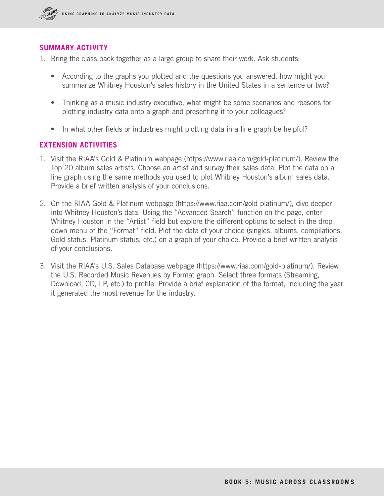

## **SUMMARY ACTIVITY**

- 1. Bring the class back together as a large group to share their work. Ask students:
	- According to the graphs you plotted and the questions you answered, how might you summarize Whitney Houston's sales history in the United States in a sentence or two?
	- Thinking as a music industry executive, what might be some scenarios and reasons for plotting industry data onto a graph and presenting it to your colleagues?
	- In what other fields or industries might plotting data in a line graph be helpful?

## **EXTENSION ACTIVITIES**

- 1. Visit the RIAA's Gold & Platinum webpage (https://www.riaa.com/gold-platinum/). Review the Top 20 album sales artists. Choose an artist and survey their sales data. Plot the data on a line graph using the same methods you used to plot Whitney Houston's album sales data. Provide a brief written analysis of your conclusions.
- 2. On the RIAA Gold & Platinum webpage (https://www.riaa.com/gold-platinum/), dive deeper into Whitney Houston's data. Using the "Advanced Search" function on the page, enter Whitney Houston in the "Artist" field but explore the different options to select in the drop down menu of the "Format" field. Plot the data of your choice (singles, albums, compilations, Gold status, Platinum status, etc.) on a graph of your choice. Provide a brief written analysis of your conclusions.
- 3. Visit the RIAA's U.S. Sales Database webpage (https://www.riaa.com/gold-platinum/). Review the U.S. Recorded Music Revenues by Format graph. Select three formats (Streaming, Download, CD, LP, etc.) to profile. Provide a brief explanation of the format, including the year it generated the most revenue for the industry.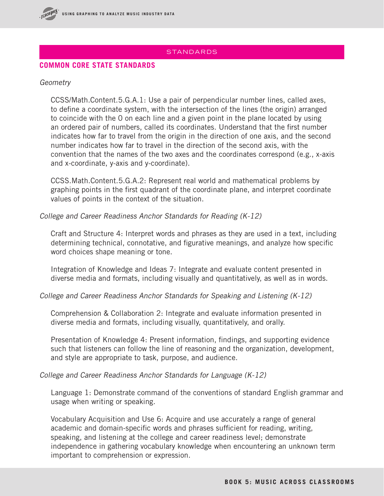

## STANDARDS

## **COMMON CORE STATE STANDARDS**

#### Geometry

CCSS/Math.Content.5.G.A.1: Use a pair of perpendicular number lines, called axes, to define a coordinate system, with the intersection of the lines (the origin) arranged to coincide with the 0 on each line and a given point in the plane located by using an ordered pair of numbers, called its coordinates. Understand that the first number indicates how far to travel from the origin in the direction of one axis, and the second number indicates how far to travel in the direction of the second axis, with the convention that the names of the two axes and the coordinates correspond (e.g., x-axis and x-coordinate, y-axis and y-coordinate).

CCSS.Math.Content.5.G.A.2: Represent real world and mathematical problems by graphing points in the first quadrant of the coordinate plane, and interpret coordinate values of points in the context of the situation.

#### College and Career Readiness Anchor Standards for Reading (K-12)

Craft and Structure 4: Interpret words and phrases as they are used in a text, including determining technical, connotative, and figurative meanings, and analyze how specific word choices shape meaning or tone.

Integration of Knowledge and Ideas 7: Integrate and evaluate content presented in diverse media and formats, including visually and quantitatively, as well as in words.

College and Career Readiness Anchor Standards for Speaking and Listening (K-12)

Comprehension & Collaboration 2: Integrate and evaluate information presented in diverse media and formats, including visually, quantitatively, and orally.

Presentation of Knowledge 4: Present information, findings, and supporting evidence such that listeners can follow the line of reasoning and the organization, development, and style are appropriate to task, purpose, and audience.

College and Career Readiness Anchor Standards for Language (K-12)

Language 1: Demonstrate command of the conventions of standard English grammar and usage when writing or speaking.

Vocabulary Acquisition and Use 6: Acquire and use accurately a range of general academic and domain-specific words and phrases sufficient for reading, writing, speaking, and listening at the college and career readiness level; demonstrate independence in gathering vocabulary knowledge when encountering an unknown term important to comprehension or expression.